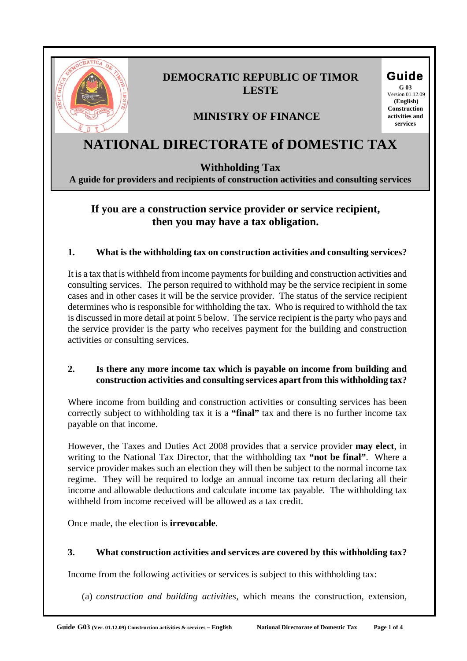

# **DEMOCRATIC REPUBLIC OF TIMOR LESTE**

# **MINISTRY OF FINANCE**

# **NATIONAL DIRECTORATE of DOMESTIC TAX**

### **Withholding Tax**

**A guide for providers and recipients of construction activities and consulting services**

## **If you are a construction service provider or service recipient, then you may have a tax obligation.**

#### **1. What is the withholding tax on construction activities and consulting services?**

It is a tax that is withheld from income payments for building and construction activities and consulting services. The person required to withhold may be the service recipient in some cases and in other cases it will be the service provider. The status of the service recipient determines who is responsible for withholding the tax. Who is required to withhold the tax is discussed in more detail at point 5 below. The service recipient is the party who pays and the service provider is the party who receives payment for the building and construction activities or consulting services.

#### **2. Is there any more income tax which is payable on income from building and construction activities and consulting services apart from this withholding tax?**

Where income from building and construction activities or consulting services has been correctly subject to withholding tax it is a **"final"** tax and there is no further income tax payable on that income.

However, the Taxes and Duties Act 2008 provides that a service provider **may elect**, in writing to the National Tax Director, that the withholding tax **"not be final"**. Where a service provider makes such an election they will then be subject to the normal income tax regime. They will be required to lodge an annual income tax return declaring all their income and allowable deductions and calculate income tax payable. The withholding tax withheld from income received will be allowed as a tax credit.

Once made, the election is **irrevocable**.

#### **3. What construction activities and services are covered by this withholding tax?**

Income from the following activities or services is subject to this withholding tax:

(a) *construction and building activities,* which means the construction, extension,

Guide **G 03** 

 Version 01.12.09  **(English) Construction activities and services**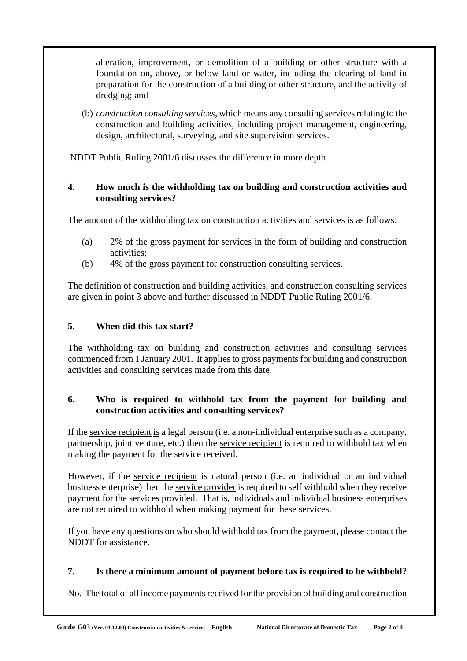alteration, improvement, or demolition of a building or other structure with a foundation on, above, or below land or water, including the clearing of land in preparation for the construction of a building or other structure, and the activity of dredging; and

(b) *construction consulting services,* which means any consulting services relating to the construction and building activities, including project management, engineering, design, architectural, surveying, and site supervision services.

NDDT Public Ruling 2001/6 discusses the difference in more depth.

#### **4. How much is the withholding tax on building and construction activities and consulting services?**

The amount of the withholding tax on construction activities and services is as follows:

- (a) 2% of the gross payment for services in the form of building and construction activities;
- (b) 4% of the gross payment for construction consulting services.

The definition of construction and building activities, and construction consulting services are given in point 3 above and further discussed in NDDT Public Ruling 2001/6.

#### **5. When did this tax start?**

The withholding tax on building and construction activities and consulting services commenced from 1 January 2001. It applies to gross payments for building and construction activities and consulting services made from this date.

#### **6. Who is required to withhold tax from the payment for building and construction activities and consulting services?**

If the service recipient is a legal person (i.e. a non-individual enterprise such as a company, partnership, joint venture, etc.) then the service recipient is required to withhold tax when making the payment for the service received.

However, if the service recipient is natural person (i.e. an individual or an individual business enterprise) then the service provider is required to self withhold when they receive payment for the services provided. That is, individuals and individual business enterprises are not required to withhold when making payment for these services.

If you have any questions on who should withhold tax from the payment, please contact the NDDT for assistance.

#### **7. Is there a minimum amount of payment before tax is required to be withheld?**

No. The total of all income payments received for the provision of building and construction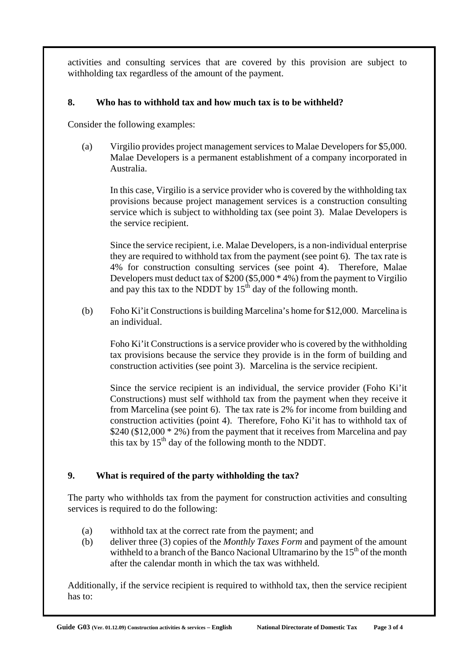activities and consulting services that are covered by this provision are subject to withholding tax regardless of the amount of the payment.

#### **8. Who has to withhold tax and how much tax is to be withheld?**

Consider the following examples:

(a) Virgilio provides project management services to Malae Developers for \$5,000. Malae Developers is a permanent establishment of a company incorporated in Australia.

In this case, Virgilio is a service provider who is covered by the withholding tax provisions because project management services is a construction consulting service which is subject to withholding tax (see point 3). Malae Developers is the service recipient.

Since the service recipient, i.e. Malae Developers, is a non-individual enterprise they are required to withhold tax from the payment (see point 6). The tax rate is 4% for construction consulting services (see point 4). Therefore, Malae Developers must deduct tax of \$200 (\$5,000 \* 4%) from the payment to Virgilio and pay this tax to the NDDT by  $15<sup>th</sup>$  day of the following month.

(b) Foho Ki'it Constructions is building Marcelina's home for \$12,000. Marcelina is an individual.

Foho Ki'it Constructions is a service provider who is covered by the withholding tax provisions because the service they provide is in the form of building and construction activities (see point 3). Marcelina is the service recipient.

Since the service recipient is an individual, the service provider (Foho Ki'it Constructions) must self withhold tax from the payment when they receive it from Marcelina (see point 6). The tax rate is 2% for income from building and construction activities (point 4). Therefore, Foho Ki'it has to withhold tax of  $$240 ($12,000 * 2\%)$  from the payment that it receives from Marcelina and pay this tax by  $15<sup>th</sup>$  day of the following month to the NDDT.

#### **9. What is required of the party withholding the tax?**

The party who withholds tax from the payment for construction activities and consulting services is required to do the following:

- (a) withhold tax at the correct rate from the payment; and
- (b) deliver three (3) copies of the *Monthly Taxes Form* and payment of the amount withheld to a branch of the Banco Nacional Ultramarino by the  $15<sup>th</sup>$  of the month after the calendar month in which the tax was withheld.

Additionally, if the service recipient is required to withhold tax, then the service recipient has to: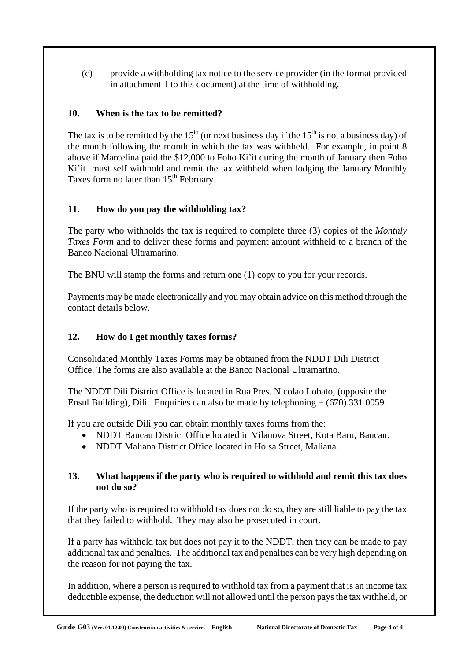(c) provide a withholding tax notice to the service provider (in the format provided in attachment 1 to this document) at the time of withholding.

#### **10. When is the tax to be remitted?**

The tax is to be remitted by the  $15<sup>th</sup>$  (or next business day if the  $15<sup>th</sup>$  is not a business day) of the month following the month in which the tax was withheld. For example, in point 8 above if Marcelina paid the \$12,000 to Foho Ki'it during the month of January then Foho Ki'it must self withhold and remit the tax withheld when lodging the January Monthly Taxes form no later than  $15<sup>th</sup>$  February.

#### **11. How do you pay the withholding tax?**

The party who withholds the tax is required to complete three (3) copies of the *Monthly Taxes Form* and to deliver these forms and payment amount withheld to a branch of the Banco Nacional Ultramarino.

The BNU will stamp the forms and return one (1) copy to you for your records.

Payments may be made electronically and you may obtain advice on this method through the contact details below.

#### **12. How do I get monthly taxes forms?**

Consolidated Monthly Taxes Forms may be obtained from the NDDT Dili District Office. The forms are also available at the Banco Nacional Ultramarino.

The NDDT Dili District Office is located in Rua Pres. Nicolao Lobato, (opposite the Ensul Building), Dili. Enquiries can also be made by telephoning + (670) 331 0059.

If you are outside Dili you can obtain monthly taxes forms from the:

- NDDT Baucau District Office located in Vilanova Street, Kota Baru, Baucau.
- NDDT Maliana District Office located in Holsa Street, Maliana.

#### **13. What happens if the party who is required to withhold and remit this tax does not do so?**

If the party who is required to withhold tax does not do so, they are still liable to pay the tax that they failed to withhold. They may also be prosecuted in court.

If a party has withheld tax but does not pay it to the NDDT, then they can be made to pay additional tax and penalties. The additional tax and penalties can be very high depending on the reason for not paying the tax.

In addition, where a person is required to withhold tax from a payment that is an income tax deductible expense, the deduction will not allowed until the person pays the tax withheld, or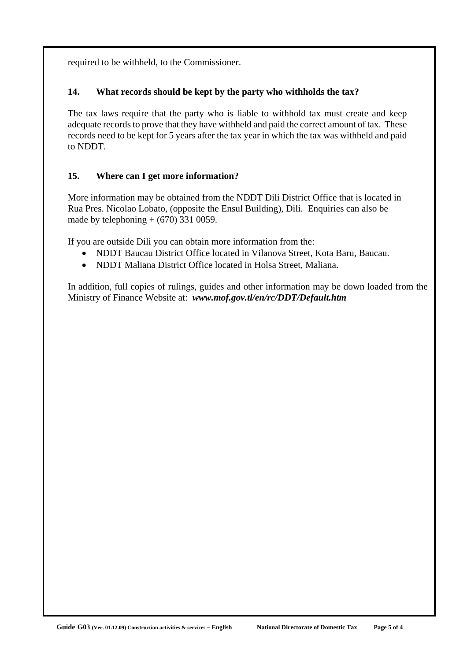required to be withheld, to the Commissioner.

#### **14. What records should be kept by the party who withholds the tax?**

The tax laws require that the party who is liable to withhold tax must create and keep adequate records to prove that they have withheld and paid the correct amount of tax. These records need to be kept for 5 years after the tax year in which the tax was withheld and paid to NDDT.

#### **15. Where can I get more information?**

More information may be obtained from the NDDT Dili District Office that is located in Rua Pres. Nicolao Lobato, (opposite the Ensul Building), Dili. Enquiries can also be made by telephoning  $+$  (670) 331 0059.

If you are outside Dili you can obtain more information from the:

- NDDT Baucau District Office located in Vilanova Street, Kota Baru, Baucau.
- NDDT Maliana District Office located in Holsa Street, Maliana.

In addition, full copies of rulings, guides and other information may be down loaded from the Ministry of Finance Website at: *www.mof.gov.tl/en/rc/DDT/Default.htm*